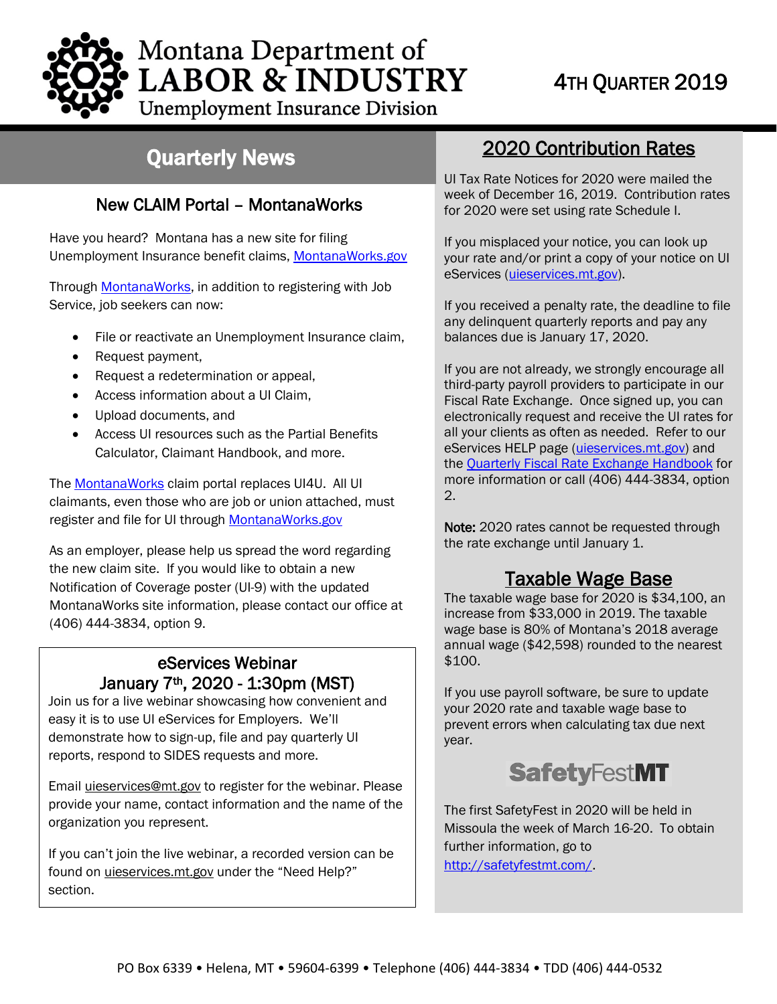

**Unemployment Insurance Division** 

## Quarterly News

### New CLAIM Portal – MontanaWorks

Have you neard? Montana has a new site for himg<br>Unemployment Insurance benefit claims, <u>MontanaWorks.gov</u> Have you heard? Montana has a new site for filing

Through [MontanaWorks,](https://montanaworks.gov/) in addition to registering with Job Service, job seekers can now:

- File or reactivate an Unemployment Insurance claim,
- Request payment,
- Request a redetermination or appeal,
- Access information about a UI Claim,
- Upload documents, and
- Access UI resources such as the Partial Benefits Calculator, Claimant Handbook, and more.

Th[e MontanaWorks](https://montanaworks.gov/) claim portal replaces UI4U. All UI claimants, even those who are job or union attached, must register and file for UI through [MontanaWorks.gov](https://montanaworks.gov/)

As an employer, please help us spread the word regarding the new claim site. If you would like to obtain a new Notification of Coverage poster (UI-9) with the updated MontanaWorks site information, please contact our office at (406) 444-3834, option 9.

# eServices Webinar

 reports, respond to SIDES requests and more. January 7<sup>th</sup>, 2020 - 1:30pm (MST)<br>Join us for a live webinar showcasing how convenient and easy it is to use UI eServices for Employers. We'll demonstrate how to sign-up, file and pay quarterly UI

Email *uieservices@mt.gov* to register for the webinar. Please provide your name, contact information and the name of the organization you represent.

If you can't join the live webinar, a recorded version can be found on [uieservices.mt.gov](https://uieservices.mt.gov/_/) under the "Need Help?" section.

## 2020 Contribution Rates

UI Tax Rate Notices for 2020 were mailed the week of December 16, 2019. Contribution rates for 2020 were set using rate Schedule I.

If you misplaced your notice, you can look up your rate and/or print a copy of your notice on UI eServices [\(uieservices.mt.gov\)](https://uieservices.mt.gov/_/).

If you received a penalty rate, the deadline to file any delinquent quarterly reports and pay any balances due is January 17, 2020.

If you are not already, we strongly encourage all third-party payroll providers to participate in our Fiscal Rate Exchange. Once signed up, you can electronically request and receive the UI rates for all your clients as often as needed. Refer to our eServices HELP page [\(uieservices.mt.gov\)](https://uieservices.mt.gov/_/) and the [Quarterly Fiscal Rate Exchange Handbook](http://uid.dli.mt.gov/Portals/55/Documents/eServices/dli-uid-es012.pdf) for more information or call (406) 444-3834, option 2.

Note: 2020 rates cannot be requested through the rate exchange until January 1.

Taxable Wage Base<br>The taxable wage base for 2020 is \$34,100, an increase from \$33,000 in 2019. The taxable wage base is 80% of Montana's 2018 average annual wage (\$42,598) rounded to the nearest \$100.

If you use payroll software, be sure to update your 2020 rate and taxable wage base to prevent errors when calculating tax due next year.

## **SafetyFestMT**

The first SafetyFest in 2020 will be held in Missoula the week of March 16-20. To obtain further information, go to

[http://safetyfestmt.com/.](http://safetyfestmt.com/)